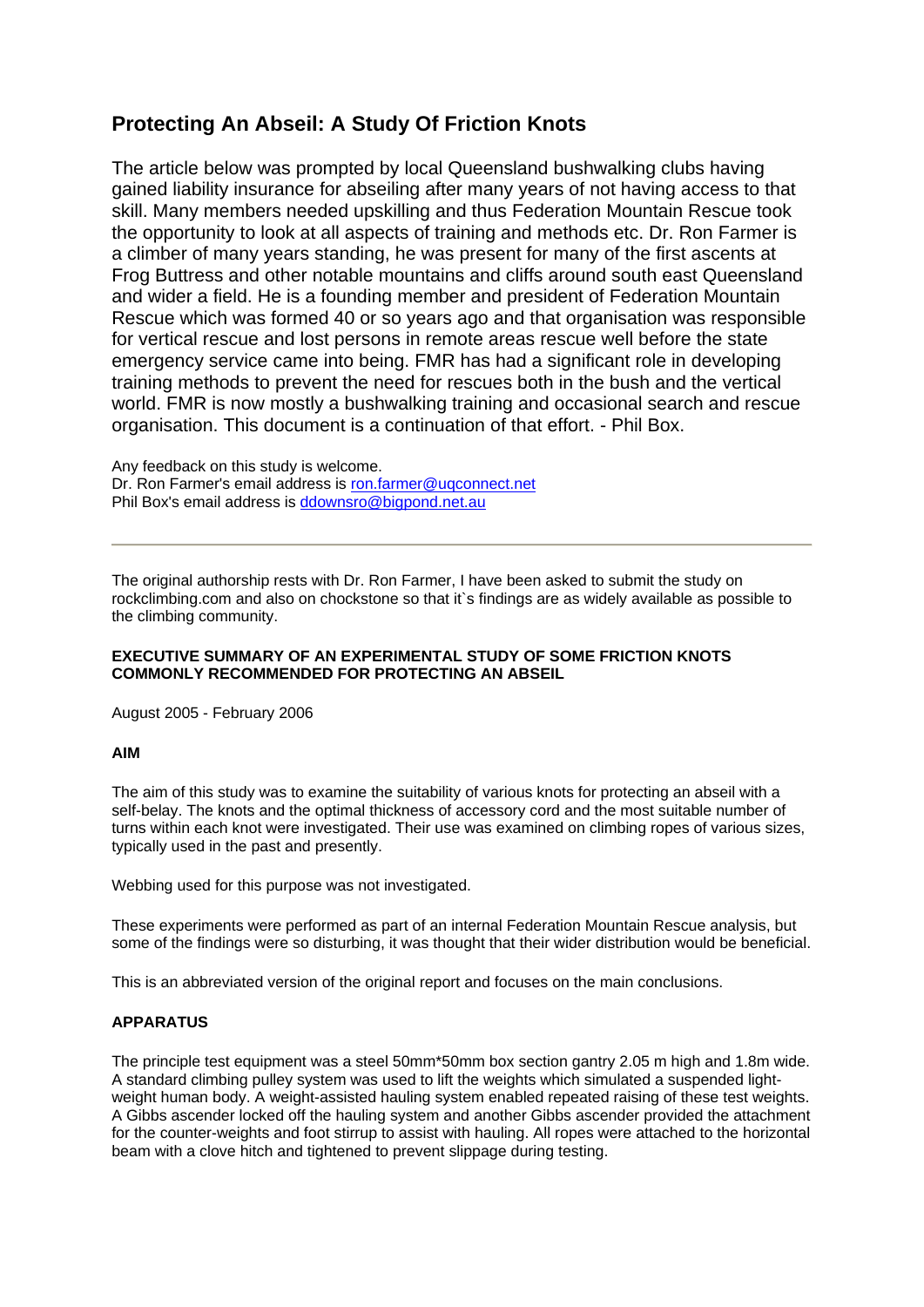# **Protecting An Abseil: A Study Of Friction Knots**

The article below was prompted by local Queensland bushwalking clubs having gained liability insurance for abseiling after many years of not having access to that skill. Many members needed upskilling and thus Federation Mountain Rescue took the opportunity to look at all aspects of training and methods etc. Dr. Ron Farmer is a climber of many years standing, he was present for many of the first ascents at Frog Buttress and other notable mountains and cliffs around south east Queensland and wider a field. He is a founding member and president of Federation Mountain Rescue which was formed 40 or so years ago and that organisation was responsible for vertical rescue and lost persons in remote areas rescue well before the state emergency service came into being. FMR has had a significant role in developing training methods to prevent the need for rescues both in the bush and the vertical world. FMR is now mostly a bushwalking training and occasional search and rescue organisation. This document is a continuation of that effort. - Phil Box.

Any feedback on this study is welcome. Dr. Ron Farmer's email address is ron.farmer@uqconnect.net Phil Box's email address is ddownsro@bigpond.net.au

The original authorship rests with Dr. Ron Farmer, I have been asked to submit the study on rockclimbing.com and also on chockstone so that it`s findings are as widely available as possible to the climbing community.

# **EXECUTIVE SUMMARY OF AN EXPERIMENTAL STUDY OF SOME FRICTION KNOTS COMMONLY RECOMMENDED FOR PROTECTING AN ABSEIL**

August 2005 - February 2006

# **AIM**

The aim of this study was to examine the suitability of various knots for protecting an abseil with a self-belay. The knots and the optimal thickness of accessory cord and the most suitable number of turns within each knot were investigated. Their use was examined on climbing ropes of various sizes, typically used in the past and presently.

Webbing used for this purpose was not investigated.

These experiments were performed as part of an internal Federation Mountain Rescue analysis, but some of the findings were so disturbing, it was thought that their wider distribution would be beneficial.

This is an abbreviated version of the original report and focuses on the main conclusions.

# **APPARATUS**

The principle test equipment was a steel 50mm\*50mm box section gantry 2.05 m high and 1.8m wide. A standard climbing pulley system was used to lift the weights which simulated a suspended lightweight human body. A weight-assisted hauling system enabled repeated raising of these test weights. A Gibbs ascender locked off the hauling system and another Gibbs ascender provided the attachment for the counter-weights and foot stirrup to assist with hauling. All ropes were attached to the horizontal beam with a clove hitch and tightened to prevent slippage during testing.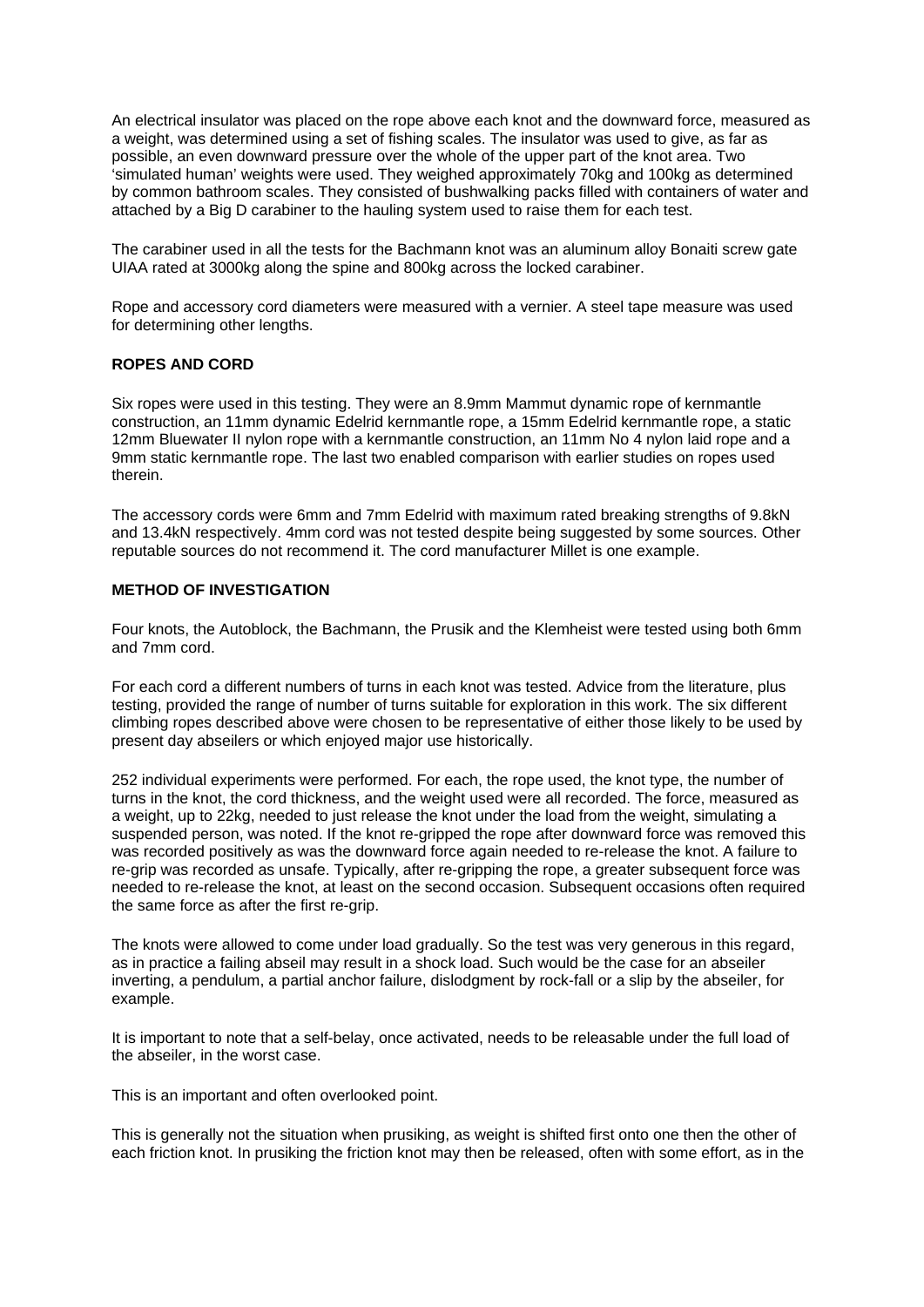An electrical insulator was placed on the rope above each knot and the downward force, measured as a weight, was determined using a set of fishing scales. The insulator was used to give, as far as possible, an even downward pressure over the whole of the upper part of the knot area. Two 'simulated human' weights were used. They weighed approximately 70kg and 100kg as determined by common bathroom scales. They consisted of bushwalking packs filled with containers of water and attached by a Big D carabiner to the hauling system used to raise them for each test.

The carabiner used in all the tests for the Bachmann knot was an aluminum alloy Bonaiti screw gate UIAA rated at 3000kg along the spine and 800kg across the locked carabiner.

Rope and accessory cord diameters were measured with a vernier. A steel tape measure was used for determining other lengths.

# **ROPES AND CORD**

Six ropes were used in this testing. They were an 8.9mm Mammut dynamic rope of kernmantle construction, an 11mm dynamic Edelrid kernmantle rope, a 15mm Edelrid kernmantle rope, a static 12mm Bluewater II nylon rope with a kernmantle construction, an 11mm No 4 nylon laid rope and a 9mm static kernmantle rope. The last two enabled comparison with earlier studies on ropes used therein.

The accessory cords were 6mm and 7mm Edelrid with maximum rated breaking strengths of 9.8kN and 13.4kN respectively. 4mm cord was not tested despite being suggested by some sources. Other reputable sources do not recommend it. The cord manufacturer Millet is one example.

# **METHOD OF INVESTIGATION**

Four knots, the Autoblock, the Bachmann, the Prusik and the Klemheist were tested using both 6mm and 7mm cord.

For each cord a different numbers of turns in each knot was tested. Advice from the literature, plus testing, provided the range of number of turns suitable for exploration in this work. The six different climbing ropes described above were chosen to be representative of either those likely to be used by present day abseilers or which enjoyed major use historically.

252 individual experiments were performed. For each, the rope used, the knot type, the number of turns in the knot, the cord thickness, and the weight used were all recorded. The force, measured as a weight, up to 22kg, needed to just release the knot under the load from the weight, simulating a suspended person, was noted. If the knot re-gripped the rope after downward force was removed this was recorded positively as was the downward force again needed to re-release the knot. A failure to re-grip was recorded as unsafe. Typically, after re-gripping the rope, a greater subsequent force was needed to re-release the knot, at least on the second occasion. Subsequent occasions often required the same force as after the first re-grip.

The knots were allowed to come under load gradually. So the test was very generous in this regard, as in practice a failing abseil may result in a shock load. Such would be the case for an abseiler inverting, a pendulum, a partial anchor failure, dislodgment by rock-fall or a slip by the abseiler, for example.

It is important to note that a self-belay, once activated, needs to be releasable under the full load of the abseiler, in the worst case.

This is an important and often overlooked point.

This is generally not the situation when prusiking, as weight is shifted first onto one then the other of each friction knot. In prusiking the friction knot may then be released, often with some effort, as in the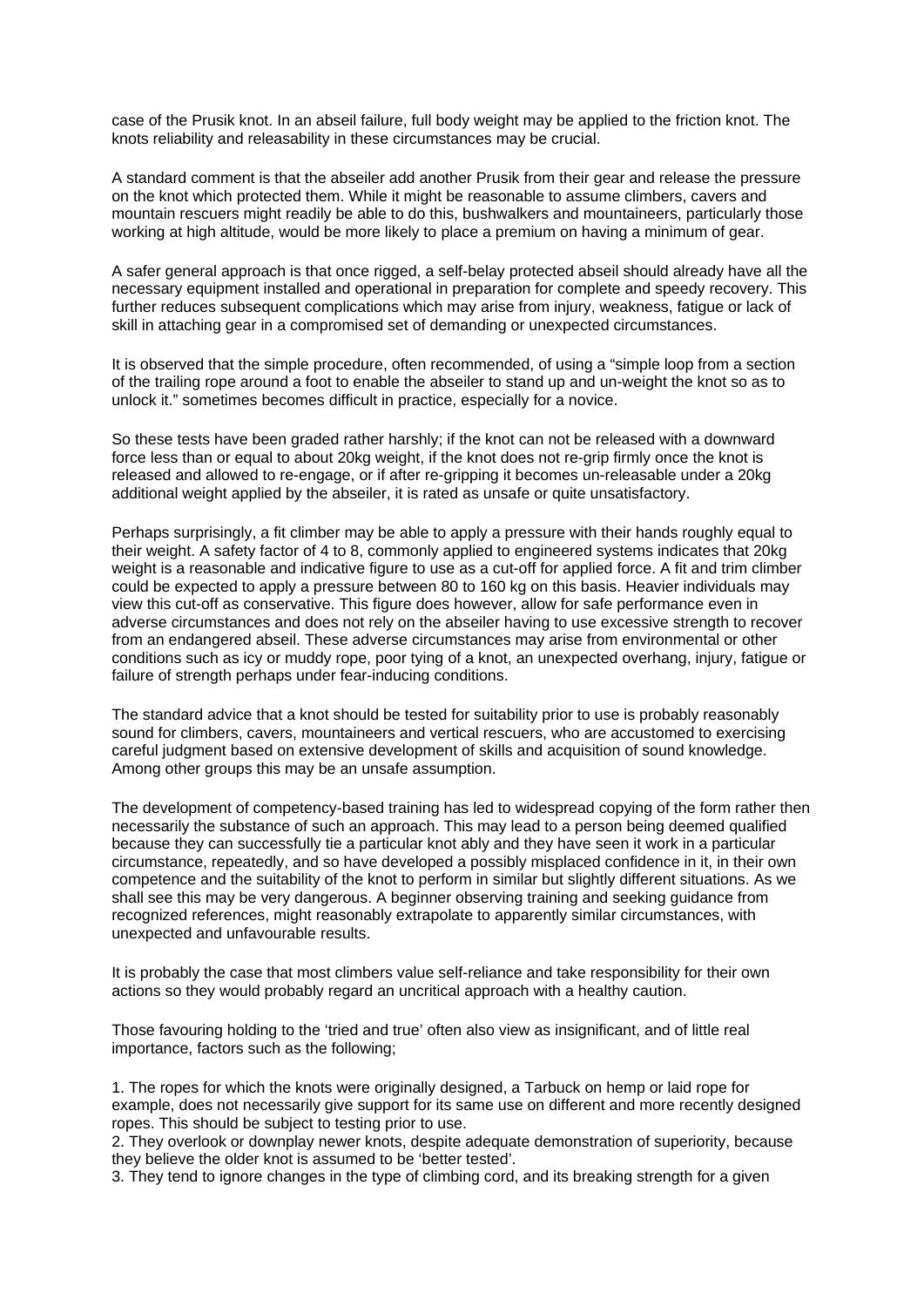case of the Prusik knot. In an abseil failure, full body weight may be applied to the friction knot. The knots reliability and releasability in these circumstances may be crucial.

A standard comment is that the abseiler add another Prusik from their gear and release the pressure on the knot which protected them. While it might be reasonable to assume climbers, cavers and mountain rescuers might readily be able to do this, bushwalkers and mountaineers, particularly those working at high altitude, would be more likely to place a premium on having a minimum of gear.

A safer general approach is that once rigged, a self-belay protected abseil should already have all the necessary equipment installed and operational in preparation for complete and speedy recovery. This further reduces subsequent complications which may arise from injury, weakness, fatigue or lack of skill in attaching gear in a compromised set of demanding or unexpected circumstances.

It is observed that the simple procedure, often recommended, of using a "simple loop from a section of the trailing rope around a foot to enable the abseiler to stand up and un-weight the knot so as to unlock it." sometimes becomes difficult in practice, especially for a novice.

So these tests have been graded rather harshly; if the knot can not be released with a downward force less than or equal to about 20kg weight, if the knot does not re-grip firmly once the knot is released and allowed to re-engage, or if after re-gripping it becomes un-releasable under a 20kg additional weight applied by the abseiler, it is rated as unsafe or quite unsatisfactory.

Perhaps surprisingly, a fit climber may be able to apply a pressure with their hands roughly equal to their weight. A safety factor of 4 to 8, commonly applied to engineered systems indicates that 20kg weight is a reasonable and indicative figure to use as a cut-off for applied force. A fit and trim climber could be expected to apply a pressure between 80 to 160 kg on this basis. Heavier individuals may view this cut-off as conservative. This figure does however, allow for safe performance even in adverse circumstances and does not rely on the abseiler having to use excessive strength to recover from an endangered abseil. These adverse circumstances may arise from environmental or other conditions such as icy or muddy rope, poor tying of a knot, an unexpected overhang, injury, fatigue or failure of strength perhaps under fear-inducing conditions.

The standard advice that a knot should be tested for suitability prior to use is probably reasonably sound for climbers, cavers, mountaineers and vertical rescuers, who are accustomed to exercising careful judgment based on extensive development of skills and acquisition of sound knowledge. Among other groups this may be an unsafe assumption.

The development of competency-based training has led to widespread copying of the form rather then necessarily the substance of such an approach. This may lead to a person being deemed qualified because they can successfully tie a particular knot ably and they have seen it work in a particular circumstance, repeatedly, and so have developed a possibly misplaced confidence in it, in their own competence and the suitability of the knot to perform in similar but slightly different situations. As we shall see this may be very dangerous. A beginner observing training and seeking guidance from recognized references, might reasonably extrapolate to apparently similar circumstances, with unexpected and unfavourable results.

It is probably the case that most climbers value self-reliance and take responsibility for their own actions so they would probably regard an uncritical approach with a healthy caution.

Those favouring holding to the 'tried and true' often also view as insignificant, and of little real importance, factors such as the following;

1. The ropes for which the knots were originally designed, a Tarbuck on hemp or laid rope for example, does not necessarily give support for its same use on different and more recently designed ropes. This should be subject to testing prior to use.

2. They overlook or downplay newer knots, despite adequate demonstration of superiority, because they believe the older knot is assumed to be 'better tested'.

3. They tend to ignore changes in the type of climbing cord, and its breaking strength for a given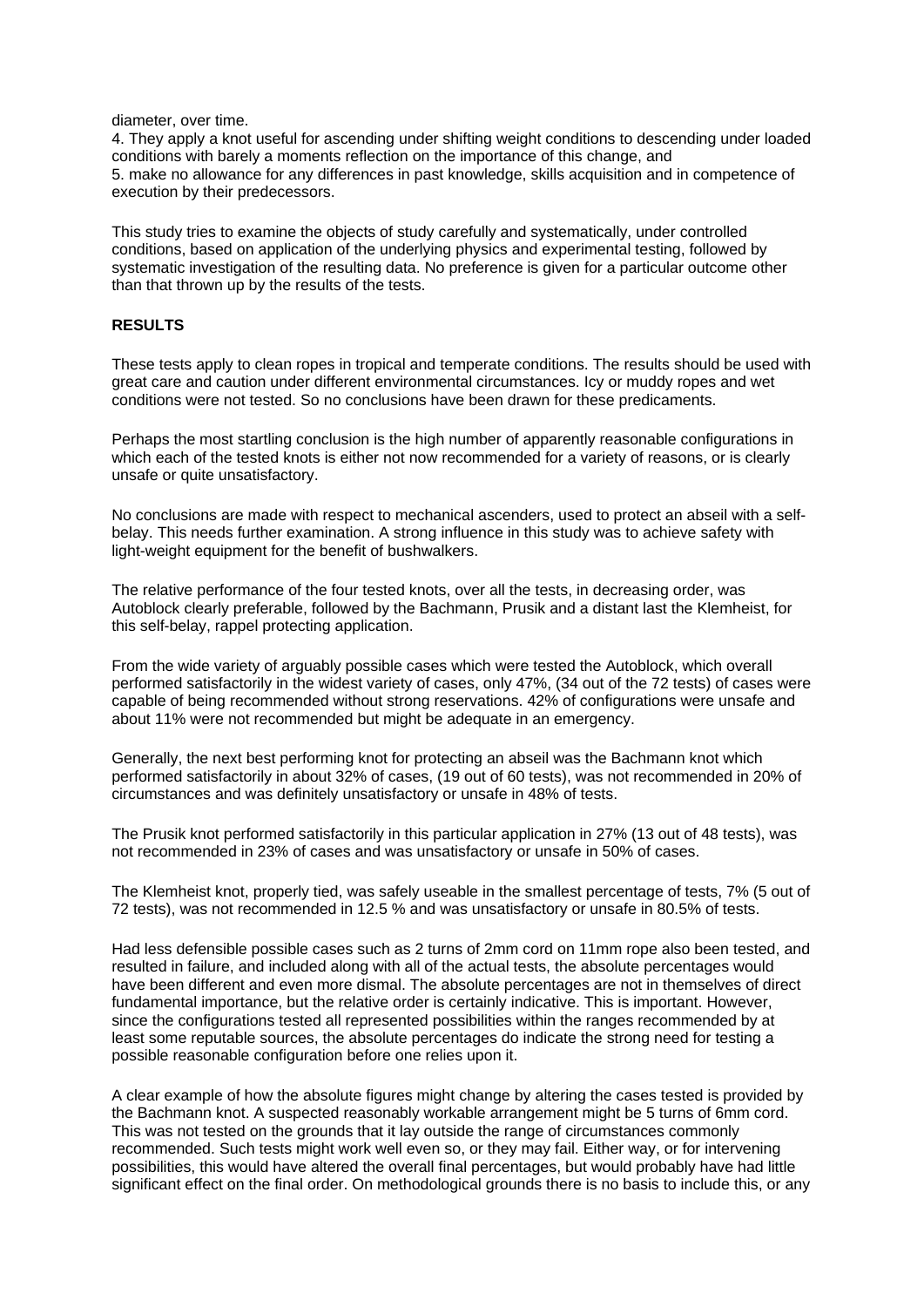diameter, over time.

4. They apply a knot useful for ascending under shifting weight conditions to descending under loaded conditions with barely a moments reflection on the importance of this change, and 5. make no allowance for any differences in past knowledge, skills acquisition and in competence of execution by their predecessors.

This study tries to examine the objects of study carefully and systematically, under controlled conditions, based on application of the underlying physics and experimental testing, followed by systematic investigation of the resulting data. No preference is given for a particular outcome other than that thrown up by the results of the tests.

# **RESULTS**

These tests apply to clean ropes in tropical and temperate conditions. The results should be used with great care and caution under different environmental circumstances. Icy or muddy ropes and wet conditions were not tested. So no conclusions have been drawn for these predicaments.

Perhaps the most startling conclusion is the high number of apparently reasonable configurations in which each of the tested knots is either not now recommended for a variety of reasons, or is clearly unsafe or quite unsatisfactory.

No conclusions are made with respect to mechanical ascenders, used to protect an abseil with a selfbelay. This needs further examination. A strong influence in this study was to achieve safety with light-weight equipment for the benefit of bushwalkers.

The relative performance of the four tested knots, over all the tests, in decreasing order, was Autoblock clearly preferable, followed by the Bachmann, Prusik and a distant last the Klemheist, for this self-belay, rappel protecting application.

From the wide variety of arguably possible cases which were tested the Autoblock, which overall performed satisfactorily in the widest variety of cases, only 47%, (34 out of the 72 tests) of cases were capable of being recommended without strong reservations. 42% of configurations were unsafe and about 11% were not recommended but might be adequate in an emergency.

Generally, the next best performing knot for protecting an abseil was the Bachmann knot which performed satisfactorily in about 32% of cases, (19 out of 60 tests), was not recommended in 20% of circumstances and was definitely unsatisfactory or unsafe in 48% of tests.

The Prusik knot performed satisfactorily in this particular application in 27% (13 out of 48 tests), was not recommended in 23% of cases and was unsatisfactory or unsafe in 50% of cases.

The Klemheist knot, properly tied, was safely useable in the smallest percentage of tests, 7% (5 out of 72 tests), was not recommended in 12.5 % and was unsatisfactory or unsafe in 80.5% of tests.

Had less defensible possible cases such as 2 turns of 2mm cord on 11mm rope also been tested, and resulted in failure, and included along with all of the actual tests, the absolute percentages would have been different and even more dismal. The absolute percentages are not in themselves of direct fundamental importance, but the relative order is certainly indicative. This is important. However, since the configurations tested all represented possibilities within the ranges recommended by at least some reputable sources, the absolute percentages do indicate the strong need for testing a possible reasonable configuration before one relies upon it.

A clear example of how the absolute figures might change by altering the cases tested is provided by the Bachmann knot. A suspected reasonably workable arrangement might be 5 turns of 6mm cord. This was not tested on the grounds that it lay outside the range of circumstances commonly recommended. Such tests might work well even so, or they may fail. Either way, or for intervening possibilities, this would have altered the overall final percentages, but would probably have had little significant effect on the final order. On methodological grounds there is no basis to include this, or any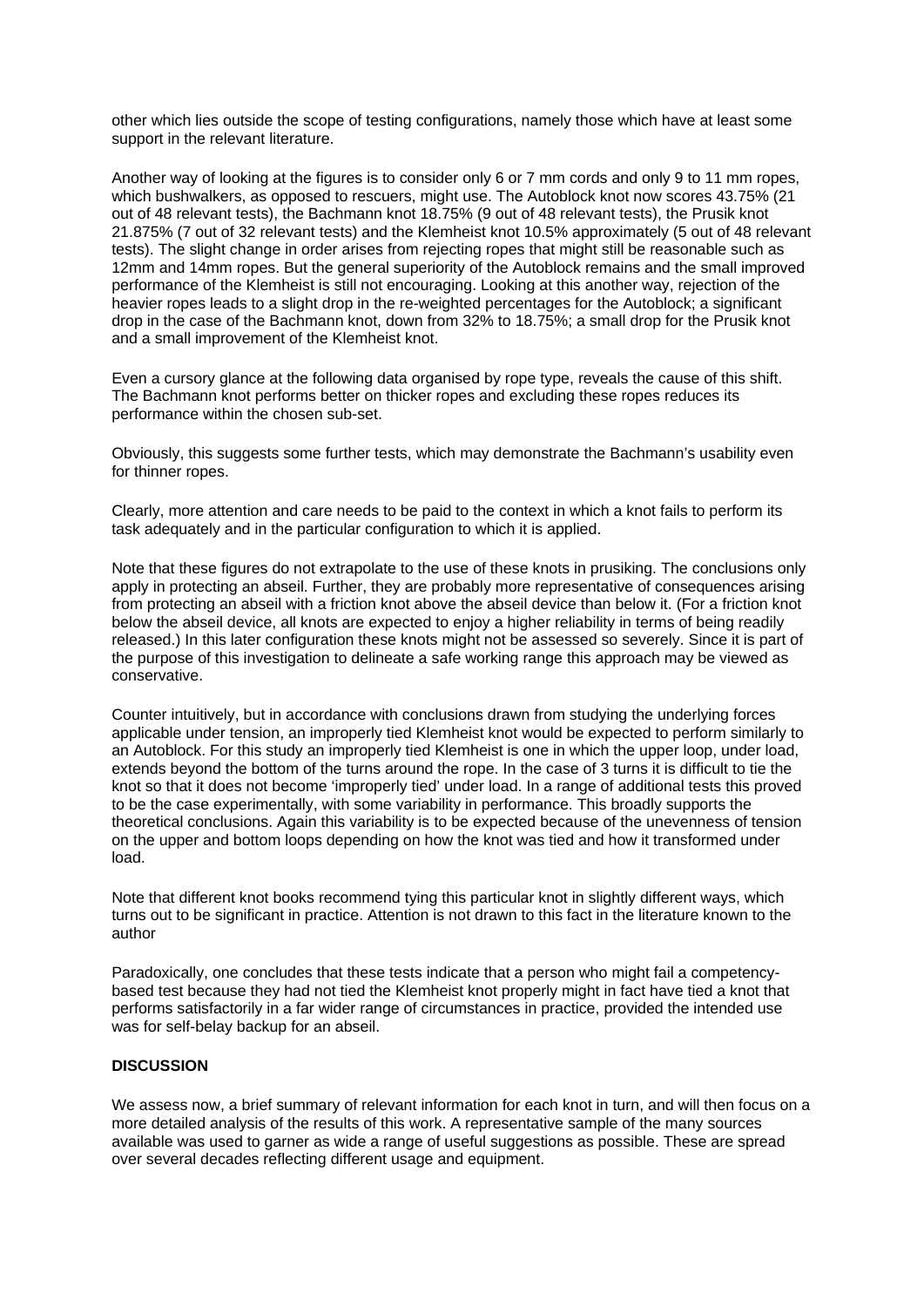other which lies outside the scope of testing configurations, namely those which have at least some support in the relevant literature.

Another way of looking at the figures is to consider only 6 or 7 mm cords and only 9 to 11 mm ropes, which bushwalkers, as opposed to rescuers, might use. The Autoblock knot now scores 43.75% (21 out of 48 relevant tests), the Bachmann knot 18.75% (9 out of 48 relevant tests), the Prusik knot 21.875% (7 out of 32 relevant tests) and the Klemheist knot 10.5% approximately (5 out of 48 relevant tests). The slight change in order arises from rejecting ropes that might still be reasonable such as 12mm and 14mm ropes. But the general superiority of the Autoblock remains and the small improved performance of the Klemheist is still not encouraging. Looking at this another way, rejection of the heavier ropes leads to a slight drop in the re-weighted percentages for the Autoblock; a significant drop in the case of the Bachmann knot, down from 32% to 18.75%; a small drop for the Prusik knot and a small improvement of the Klemheist knot.

Even a cursory glance at the following data organised by rope type, reveals the cause of this shift. The Bachmann knot performs better on thicker ropes and excluding these ropes reduces its performance within the chosen sub-set.

Obviously, this suggests some further tests, which may demonstrate the Bachmann's usability even for thinner ropes.

Clearly, more attention and care needs to be paid to the context in which a knot fails to perform its task adequately and in the particular configuration to which it is applied.

Note that these figures do not extrapolate to the use of these knots in prusiking. The conclusions only apply in protecting an abseil. Further, they are probably more representative of consequences arising from protecting an abseil with a friction knot above the abseil device than below it. (For a friction knot below the abseil device, all knots are expected to enjoy a higher reliability in terms of being readily released.) In this later configuration these knots might not be assessed so severely. Since it is part of the purpose of this investigation to delineate a safe working range this approach may be viewed as conservative.

Counter intuitively, but in accordance with conclusions drawn from studying the underlying forces applicable under tension, an improperly tied Klemheist knot would be expected to perform similarly to an Autoblock. For this study an improperly tied Klemheist is one in which the upper loop, under load, extends beyond the bottom of the turns around the rope. In the case of 3 turns it is difficult to tie the knot so that it does not become 'improperly tied' under load. In a range of additional tests this proved to be the case experimentally, with some variability in performance. This broadly supports the theoretical conclusions. Again this variability is to be expected because of the unevenness of tension on the upper and bottom loops depending on how the knot was tied and how it transformed under load.

Note that different knot books recommend tying this particular knot in slightly different ways, which turns out to be significant in practice. Attention is not drawn to this fact in the literature known to the author

Paradoxically, one concludes that these tests indicate that a person who might fail a competencybased test because they had not tied the Klemheist knot properly might in fact have tied a knot that performs satisfactorily in a far wider range of circumstances in practice, provided the intended use was for self-belay backup for an abseil.

# **DISCUSSION**

We assess now, a brief summary of relevant information for each knot in turn, and will then focus on a more detailed analysis of the results of this work. A representative sample of the many sources available was used to garner as wide a range of useful suggestions as possible. These are spread over several decades reflecting different usage and equipment.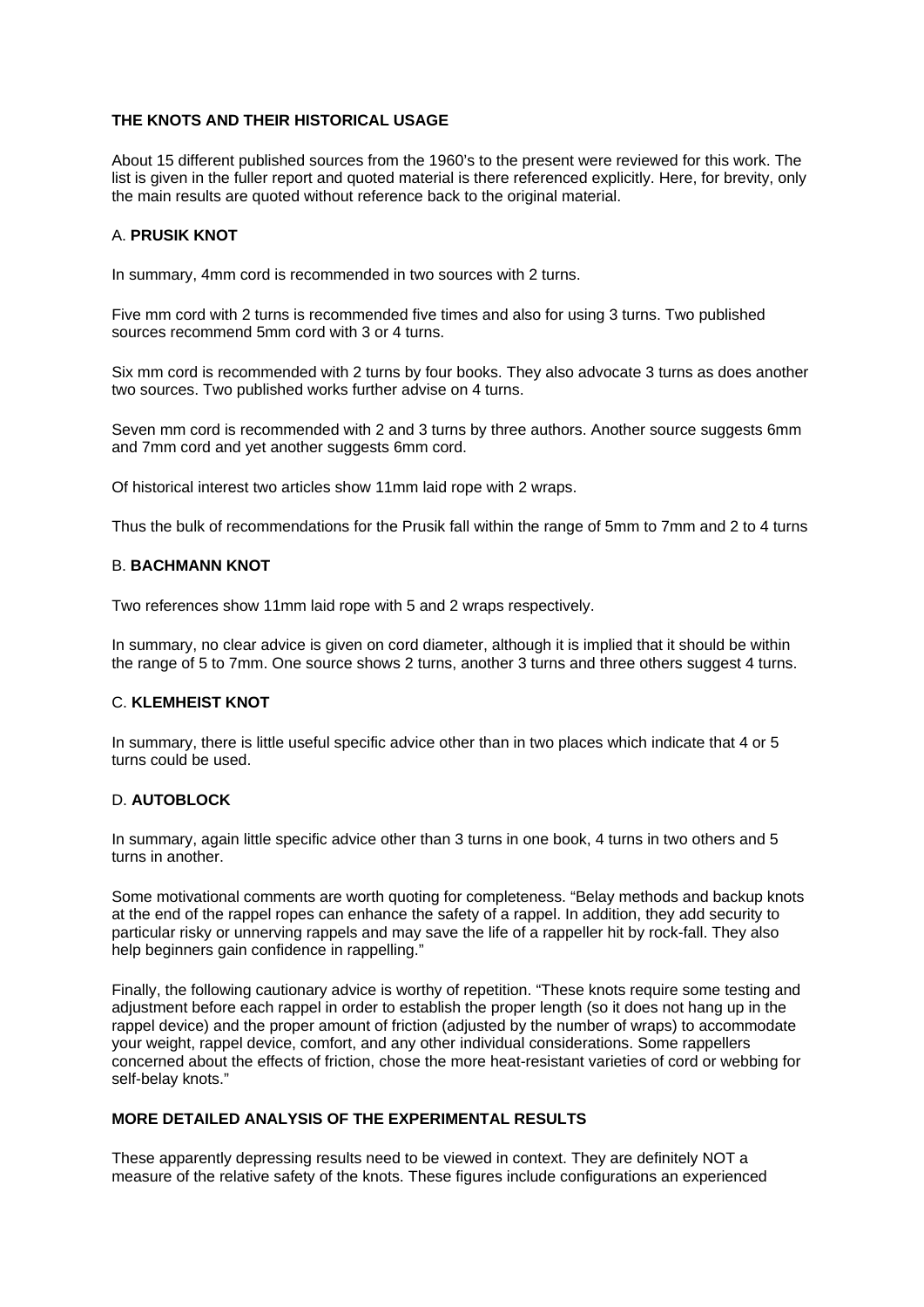# **THE KNOTS AND THEIR HISTORICAL USAGE**

About 15 different published sources from the 1960's to the present were reviewed for this work. The list is given in the fuller report and quoted material is there referenced explicitly. Here, for brevity, only the main results are quoted without reference back to the original material.

#### A. **PRUSIK KNOT**

In summary, 4mm cord is recommended in two sources with 2 turns.

Five mm cord with 2 turns is recommended five times and also for using 3 turns. Two published sources recommend 5mm cord with 3 or 4 turns.

Six mm cord is recommended with 2 turns by four books. They also advocate 3 turns as does another two sources. Two published works further advise on 4 turns.

Seven mm cord is recommended with 2 and 3 turns by three authors. Another source suggests 6mm and 7mm cord and yet another suggests 6mm cord.

Of historical interest two articles show 11mm laid rope with 2 wraps.

Thus the bulk of recommendations for the Prusik fall within the range of 5mm to 7mm and 2 to 4 turns

#### B. **BACHMANN KNOT**

Two references show 11mm laid rope with 5 and 2 wraps respectively.

In summary, no clear advice is given on cord diameter, although it is implied that it should be within the range of 5 to 7mm. One source shows 2 turns, another 3 turns and three others suggest 4 turns.

# C. **KLEMHEIST KNOT**

In summary, there is little useful specific advice other than in two places which indicate that 4 or 5 turns could be used.

# D. **AUTOBLOCK**

In summary, again little specific advice other than 3 turns in one book, 4 turns in two others and 5 turns in another.

Some motivational comments are worth quoting for completeness. "Belay methods and backup knots at the end of the rappel ropes can enhance the safety of a rappel. In addition, they add security to particular risky or unnerving rappels and may save the life of a rappeller hit by rock-fall. They also help beginners gain confidence in rappelling."

Finally, the following cautionary advice is worthy of repetition. "These knots require some testing and adjustment before each rappel in order to establish the proper length (so it does not hang up in the rappel device) and the proper amount of friction (adjusted by the number of wraps) to accommodate your weight, rappel device, comfort, and any other individual considerations. Some rappellers concerned about the effects of friction, chose the more heat-resistant varieties of cord or webbing for self-belay knots."

# **MORE DETAILED ANALYSIS OF THE EXPERIMENTAL RESULTS**

These apparently depressing results need to be viewed in context. They are definitely NOT a measure of the relative safety of the knots. These figures include configurations an experienced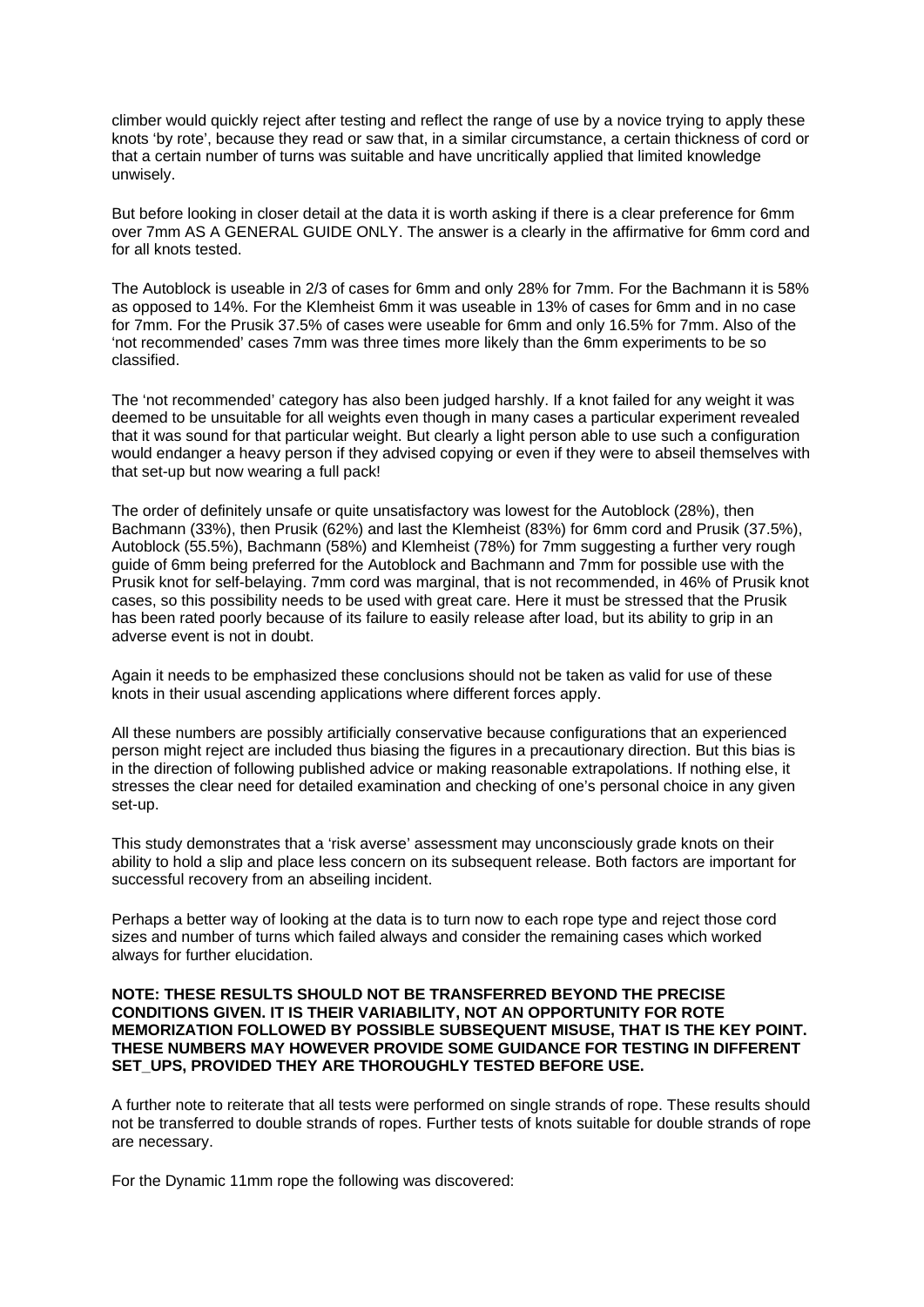climber would quickly reject after testing and reflect the range of use by a novice trying to apply these knots 'by rote', because they read or saw that, in a similar circumstance, a certain thickness of cord or that a certain number of turns was suitable and have uncritically applied that limited knowledge unwisely.

But before looking in closer detail at the data it is worth asking if there is a clear preference for 6mm over 7mm AS A GENERAL GUIDE ONLY. The answer is a clearly in the affirmative for 6mm cord and for all knots tested.

The Autoblock is useable in 2/3 of cases for 6mm and only 28% for 7mm. For the Bachmann it is 58% as opposed to 14%. For the Klemheist 6mm it was useable in 13% of cases for 6mm and in no case for 7mm. For the Prusik 37.5% of cases were useable for 6mm and only 16.5% for 7mm. Also of the 'not recommended' cases 7mm was three times more likely than the 6mm experiments to be so classified.

The 'not recommended' category has also been judged harshly. If a knot failed for any weight it was deemed to be unsuitable for all weights even though in many cases a particular experiment revealed that it was sound for that particular weight. But clearly a light person able to use such a configuration would endanger a heavy person if they advised copying or even if they were to abseil themselves with that set-up but now wearing a full pack!

The order of definitely unsafe or quite unsatisfactory was lowest for the Autoblock (28%), then Bachmann (33%), then Prusik (62%) and last the Klemheist (83%) for 6mm cord and Prusik (37.5%), Autoblock (55.5%), Bachmann (58%) and Klemheist (78%) for 7mm suggesting a further very rough guide of 6mm being preferred for the Autoblock and Bachmann and 7mm for possible use with the Prusik knot for self-belaying. 7mm cord was marginal, that is not recommended, in 46% of Prusik knot cases, so this possibility needs to be used with great care. Here it must be stressed that the Prusik has been rated poorly because of its failure to easily release after load, but its ability to grip in an adverse event is not in doubt.

Again it needs to be emphasized these conclusions should not be taken as valid for use of these knots in their usual ascending applications where different forces apply.

All these numbers are possibly artificially conservative because configurations that an experienced person might reject are included thus biasing the figures in a precautionary direction. But this bias is in the direction of following published advice or making reasonable extrapolations. If nothing else, it stresses the clear need for detailed examination and checking of one's personal choice in any given set-up.

This study demonstrates that a 'risk averse' assessment may unconsciously grade knots on their ability to hold a slip and place less concern on its subsequent release. Both factors are important for successful recovery from an abseiling incident.

Perhaps a better way of looking at the data is to turn now to each rope type and reject those cord sizes and number of turns which failed always and consider the remaining cases which worked always for further elucidation.

#### **NOTE: THESE RESULTS SHOULD NOT BE TRANSFERRED BEYOND THE PRECISE CONDITIONS GIVEN. IT IS THEIR VARIABILITY, NOT AN OPPORTUNITY FOR ROTE MEMORIZATION FOLLOWED BY POSSIBLE SUBSEQUENT MISUSE, THAT IS THE KEY POINT. THESE NUMBERS MAY HOWEVER PROVIDE SOME GUIDANCE FOR TESTING IN DIFFERENT SET\_UPS, PROVIDED THEY ARE THOROUGHLY TESTED BEFORE USE.**

A further note to reiterate that all tests were performed on single strands of rope. These results should not be transferred to double strands of ropes. Further tests of knots suitable for double strands of rope are necessary.

For the Dynamic 11mm rope the following was discovered: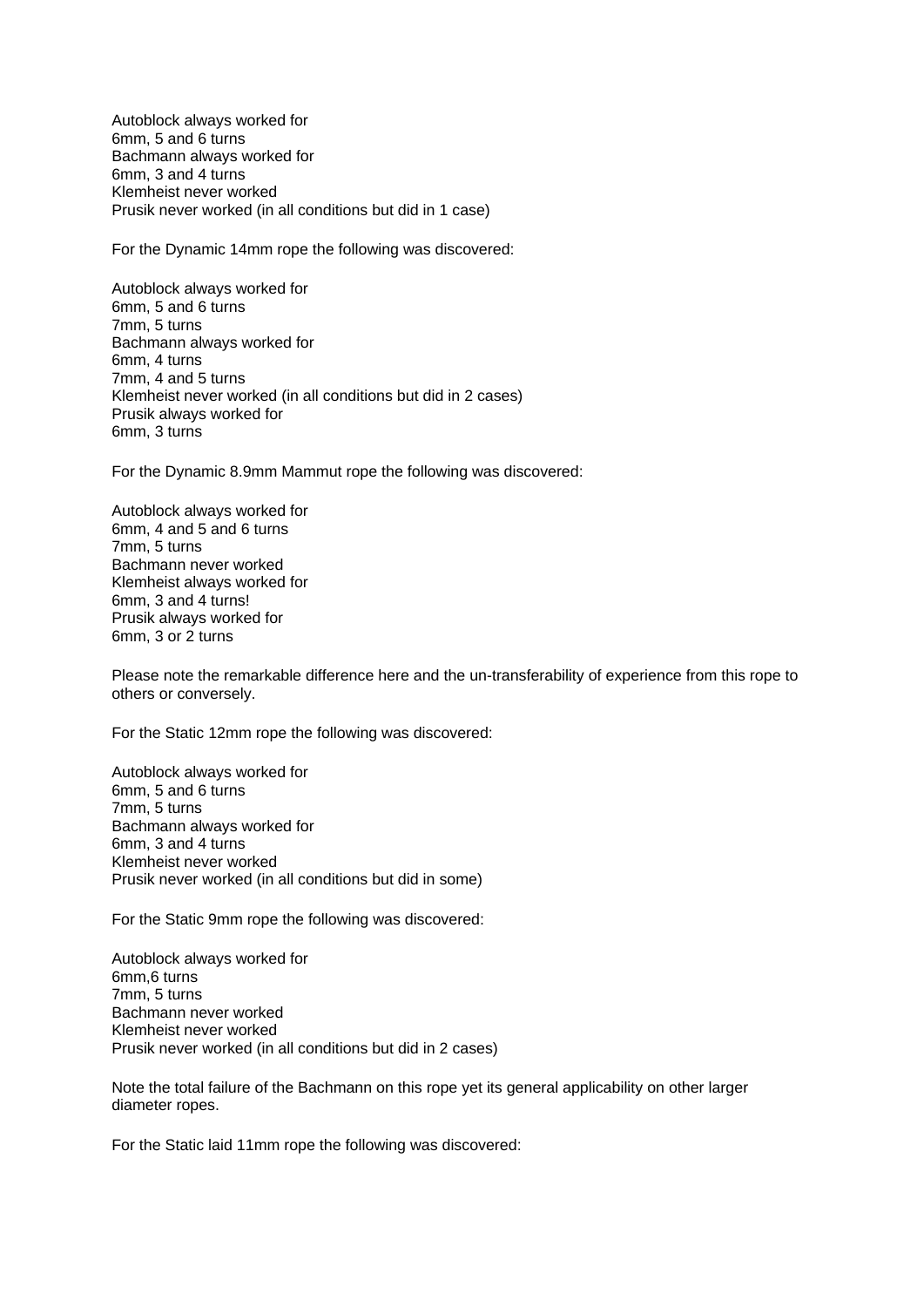Autoblock always worked for 6mm, 5 and 6 turns Bachmann always worked for 6mm, 3 and 4 turns Klemheist never worked Prusik never worked (in all conditions but did in 1 case)

For the Dynamic 14mm rope the following was discovered:

Autoblock always worked for 6mm, 5 and 6 turns 7mm, 5 turns Bachmann always worked for 6mm, 4 turns 7mm, 4 and 5 turns Klemheist never worked (in all conditions but did in 2 cases) Prusik always worked for 6mm, 3 turns

For the Dynamic 8.9mm Mammut rope the following was discovered:

Autoblock always worked for 6mm, 4 and 5 and 6 turns 7mm, 5 turns Bachmann never worked Klemheist always worked for 6mm, 3 and 4 turns! Prusik always worked for 6mm, 3 or 2 turns

Please note the remarkable difference here and the un-transferability of experience from this rope to others or conversely.

For the Static 12mm rope the following was discovered:

Autoblock always worked for 6mm, 5 and 6 turns 7mm, 5 turns Bachmann always worked for 6mm, 3 and 4 turns Klemheist never worked Prusik never worked (in all conditions but did in some)

For the Static 9mm rope the following was discovered:

Autoblock always worked for 6mm,6 turns 7mm, 5 turns Bachmann never worked Klemheist never worked Prusik never worked (in all conditions but did in 2 cases)

Note the total failure of the Bachmann on this rope yet its general applicability on other larger diameter ropes.

For the Static laid 11mm rope the following was discovered: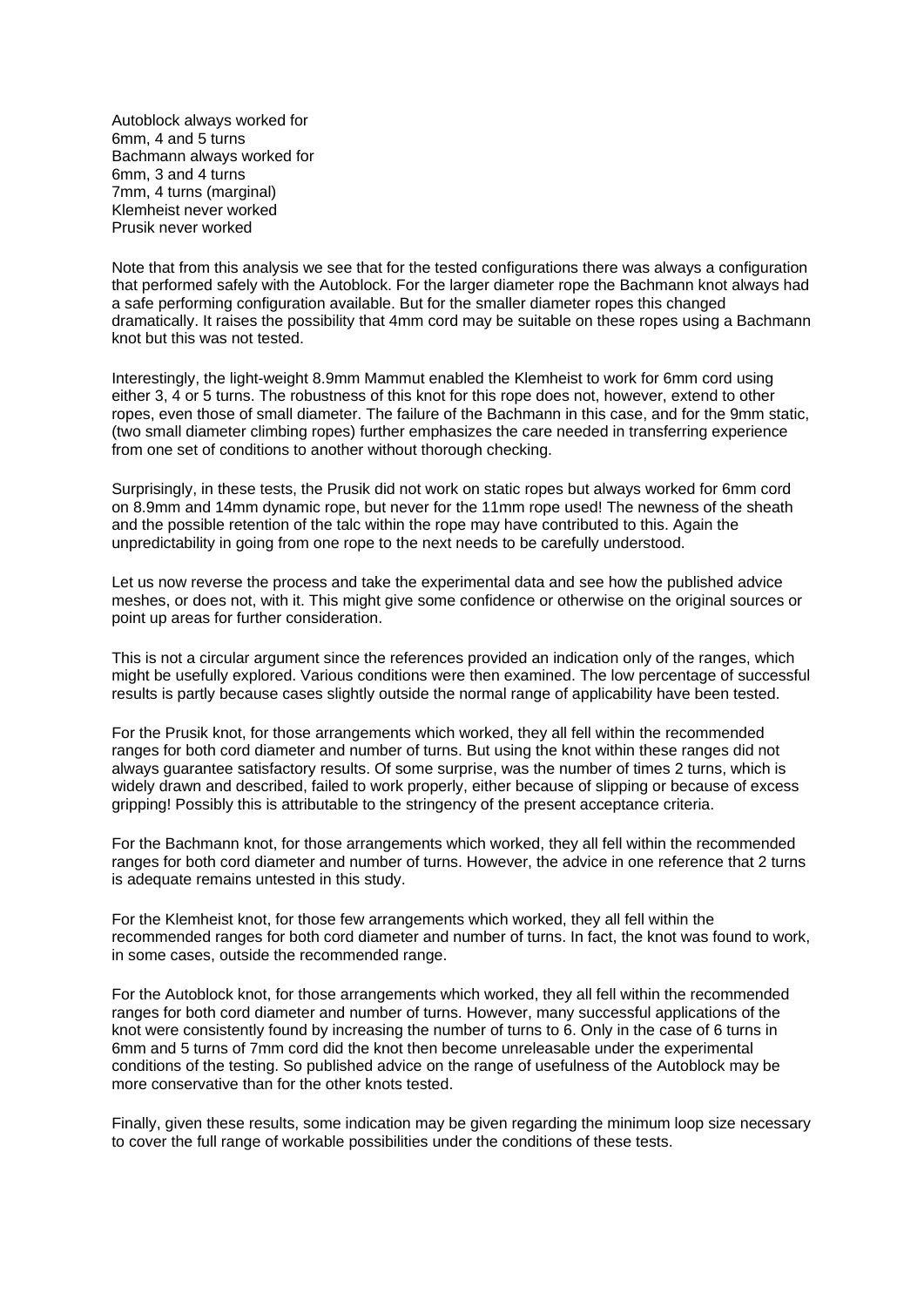Autoblock always worked for 6mm, 4 and 5 turns Bachmann always worked for 6mm, 3 and 4 turns 7mm, 4 turns (marginal) Klemheist never worked Prusik never worked

Note that from this analysis we see that for the tested configurations there was always a configuration that performed safely with the Autoblock. For the larger diameter rope the Bachmann knot always had a safe performing configuration available. But for the smaller diameter ropes this changed dramatically. It raises the possibility that 4mm cord may be suitable on these ropes using a Bachmann knot but this was not tested.

Interestingly, the light-weight 8.9mm Mammut enabled the Klemheist to work for 6mm cord using either 3, 4 or 5 turns. The robustness of this knot for this rope does not, however, extend to other ropes, even those of small diameter. The failure of the Bachmann in this case, and for the 9mm static, (two small diameter climbing ropes) further emphasizes the care needed in transferring experience from one set of conditions to another without thorough checking.

Surprisingly, in these tests, the Prusik did not work on static ropes but always worked for 6mm cord on 8.9mm and 14mm dynamic rope, but never for the 11mm rope used! The newness of the sheath and the possible retention of the talc within the rope may have contributed to this. Again the unpredictability in going from one rope to the next needs to be carefully understood.

Let us now reverse the process and take the experimental data and see how the published advice meshes, or does not, with it. This might give some confidence or otherwise on the original sources or point up areas for further consideration.

This is not a circular argument since the references provided an indication only of the ranges, which might be usefully explored. Various conditions were then examined. The low percentage of successful results is partly because cases slightly outside the normal range of applicability have been tested.

For the Prusik knot, for those arrangements which worked, they all fell within the recommended ranges for both cord diameter and number of turns. But using the knot within these ranges did not always guarantee satisfactory results. Of some surprise, was the number of times 2 turns, which is widely drawn and described, failed to work properly, either because of slipping or because of excess gripping! Possibly this is attributable to the stringency of the present acceptance criteria.

For the Bachmann knot, for those arrangements which worked, they all fell within the recommended ranges for both cord diameter and number of turns. However, the advice in one reference that 2 turns is adequate remains untested in this study.

For the Klemheist knot, for those few arrangements which worked, they all fell within the recommended ranges for both cord diameter and number of turns. In fact, the knot was found to work, in some cases, outside the recommended range.

For the Autoblock knot, for those arrangements which worked, they all fell within the recommended ranges for both cord diameter and number of turns. However, many successful applications of the knot were consistently found by increasing the number of turns to 6. Only in the case of 6 turns in 6mm and 5 turns of 7mm cord did the knot then become unreleasable under the experimental conditions of the testing. So published advice on the range of usefulness of the Autoblock may be more conservative than for the other knots tested.

Finally, given these results, some indication may be given regarding the minimum loop size necessary to cover the full range of workable possibilities under the conditions of these tests.